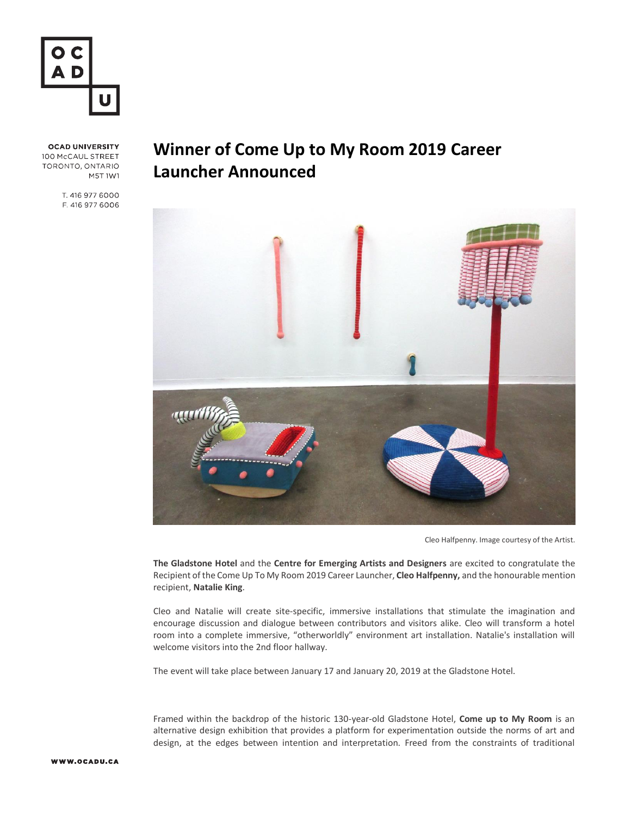

**OCAD UNIVERSITY** 100 McCAUL STREET TORONTO, ONTARIO M5T 1W1

> T. 416 977 6000 F. 416 977 6006

## **Winner of Come Up to My Room 2019 Career Launcher Announced**



Cleo Halfpenny. Image courtesy of the Artist.

**The Gladstone Hotel** and the **Centre for Emerging Artists and Designers** are excited to congratulate the Recipient of the Come Up To My Room 2019 Career Launcher, **Cleo Halfpenny,** and the honourable mention recipient, **Natalie King**.

Cleo and Natalie will create site-specific, immersive installations that stimulate the imagination and encourage discussion and dialogue between contributors and visitors alike. Cleo will transform a hotel room into a complete immersive, "otherworldly" environment art installation. Natalie's installation will welcome visitors into the 2nd floor hallway.

The event will take place between January 17 and January 20, 2019 at the Gladstone Hotel.

Framed within the backdrop of the historic 130-year-old Gladstone Hotel, **Come up to My Room** is an alternative design exhibition that provides a platform for experimentation outside the norms of art and design, at the edges between intention and interpretation. Freed from the constraints of traditional